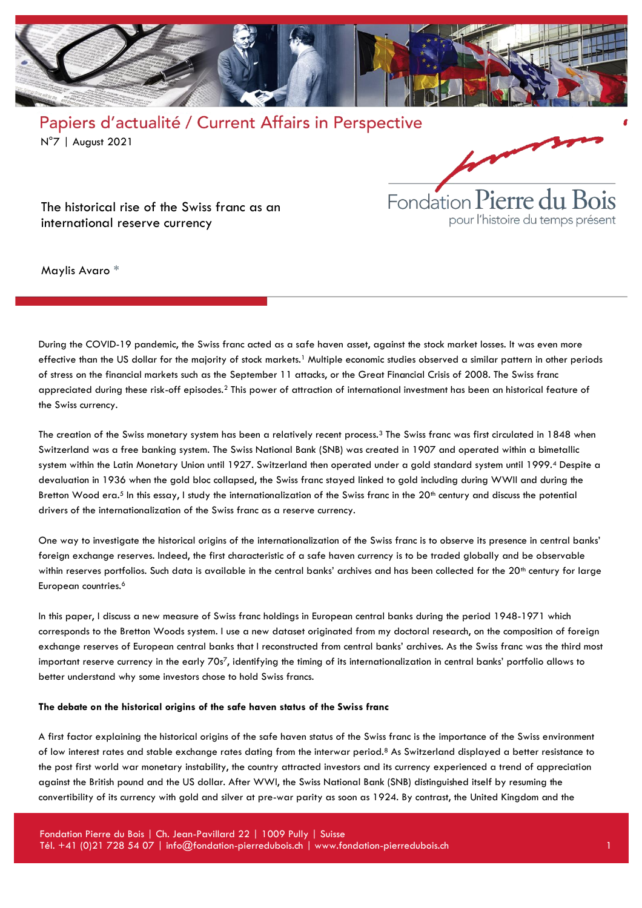



The historical rise of the Swiss franc as an international reserve currency

Maylis Avaro \*

During the COVID-19 pandemic, the Swiss franc acted as a safe haven asset, against the stock market losses. It was even more effective than the US dollar for the majority of stock markets.<sup>1</sup> Multiple economic studies observed a similar pattern in other periods of stress on the financial markets such as the September 11 attacks, or the Great Financial Crisis of 2008. The Swiss franc appreciated during these risk-off episodes.<sup>2</sup> This power of attraction of international investment has been an historical feature of the Swiss currency.

The creation of the Swiss monetary system has been a relatively recent process.<sup>3</sup> The Swiss franc was first circulated in 1848 when Switzerland was a free banking system. The Swiss National Bank (SNB) was created in 1907 and operated within a bimetallic system within the Latin Monetary Union until 1927. Switzerland then operated under a gold standard system until 1999.<sup>4</sup> Despite a devaluation in 1936 when the gold bloc collapsed, the Swiss franc stayed linked to gold including during WWII and during the Bretton Wood era.<sup>5</sup> In this essay, I study the internationalization of the Swiss franc in the 20<sup>th</sup> century and discuss the potential drivers of the internationalization of the Swiss franc as a reserve currency.

One way to investigate the historical origins of the internationalization of the Swiss franc is to observe its presence in central banks' foreign exchange reserves. Indeed, the first characteristic of a safe haven currency is to be traded globally and be observable within reserves portfolios. Such data is available in the central banks' archives and has been collected for the 20<sup>th</sup> century for large European countries.<sup>6</sup>

In this paper, I discuss a new measure of Swiss franc holdings in European central banks during the period 1948-1971 which corresponds to the Bretton Woods system. I use a new dataset originated from my doctoral research, on the composition of foreign exchange reserves of European central banks that I reconstructed from central banks' archives. As the Swiss franc was the third most important reserve currency in the early 70s7, identifying the timing of its internationalization in central banks' portfolio allows to better understand why some investors chose to hold Swiss francs.

#### **The debate on the historical origins of the safe haven status of the Swiss franc**

A first factor explaining the historical origins of the safe haven status of the Swiss franc is the importance of the Swiss environment of low interest rates and stable exchange rates dating from the interwar period.<sup>8</sup> As Switzerland displayed a better resistance to the post first world war monetary instability, the country attracted investors and its currency experienced a trend of appreciation against the British pound and the US dollar. After WWI, the Swiss National Bank (SNB) distinguished itself by resuming the convertibility of its currency with gold and silver at pre-war parity as soon as 1924. By contrast, the United Kingdom and the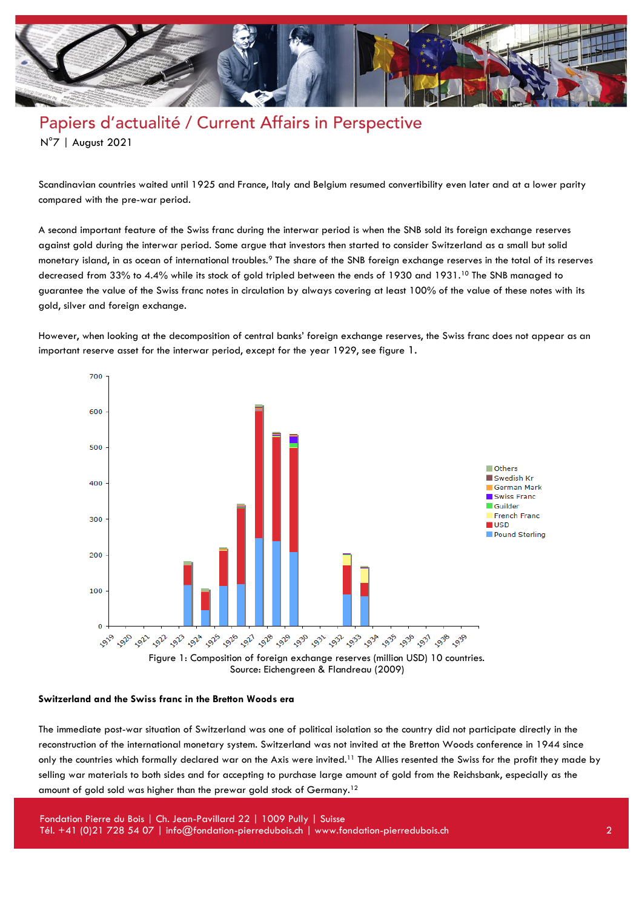

Scandinavian countries waited until 1925 and France, Italy and Belgium resumed convertibility even later and at a lower parity compared with the pre-war period.

A second important feature of the Swiss franc during the interwar period is when the SNB sold its foreign exchange reserves against gold during the interwar period. Some argue that investors then started to consider Switzerland as a small but solid monetary island, in as ocean of international troubles.<sup>9</sup> The share of the SNB foreign exchange reserves in the total of its reserves decreased from 33% to 4.4% while its stock of gold tripled between the ends of 1930 and 1931.<sup>10</sup> The SNB managed to guarantee the value of the Swiss franc notes in circulation by always covering at least 100% of the value of these notes with its gold, silver and foreign exchange.

However, when looking at the decomposition of central banks' foreign exchange reserves, the Swiss franc does not appear as an important reserve asset for the interwar period, except for the year 1929, see figure 1.



Source: Eichengreen & Flandreau (2009)

#### **Switzerland and the Swiss franc in the Bretton Woods era**

The immediate post-war situation of Switzerland was one of political isolation so the country did not participate directly in the reconstruction of the international monetary system. Switzerland was not invited at the Bretton Woods conference in 1944 since only the countries which formally declared war on the Axis were invited.<sup>11</sup> The Allies resented the Swiss for the profit they made by selling war materials to both sides and for accepting to purchase large amount of gold from the Reichsbank, especially as the amount of gold sold was higher than the prewar gold stock of Germany.12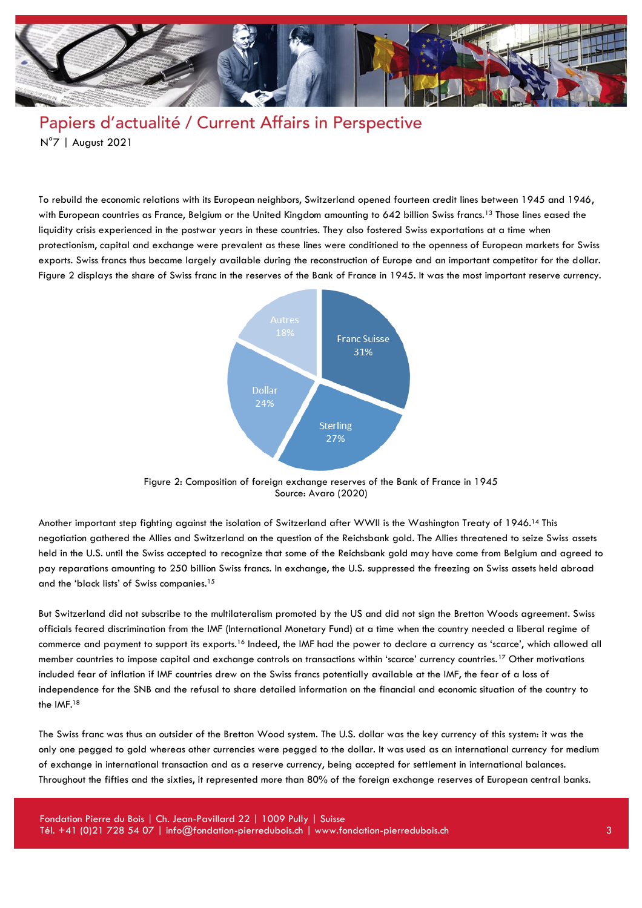

To rebuild the economic relations with its European neighbors, Switzerland opened fourteen credit lines between 1945 and 1946, with European countries as France, Belgium or the United Kingdom amounting to 642 billion Swiss francs.<sup>13</sup> Those lines eased the liquidity crisis experienced in the postwar years in these countries. They also fostered Swiss exportations at a time when protectionism, capital and exchange were prevalent as these lines were conditioned to the openness of European markets for Swiss exports. Swiss francs thus became largely available during the reconstruction of Europe and an important competitor for the dollar. Figure 2 displays the share of Swiss franc in the reserves of the Bank of France in 1945. It was the most important reserve currency.



Figure 2: Composition of foreign exchange reserves of the Bank of France in 1945 Source: Avaro (2020)

Another important step fighting against the isolation of Switzerland after WWII is the Washington Treaty of 1946.<sup>14</sup> This negotiation gathered the Allies and Switzerland on the question of the Reichsbank gold. The Allies threatened to seize Swiss assets held in the U.S. until the Swiss accepted to recognize that some of the Reichsbank gold may have come from Belgium and agreed to pay reparations amounting to 250 billion Swiss francs. In exchange, the U.S. suppressed the freezing on Swiss assets held abroad and the 'black lists' of Swiss companies.<sup>15</sup>

But Switzerland did not subscribe to the multilateralism promoted by the US and did not sign the Bretton Woods agreement. Swiss officials feared discrimination from the IMF (International Monetary Fund) at a time when the country needed a liberal regime of commerce and payment to support its exports.<sup>16</sup> Indeed, the IMF had the power to declare a currency as 'scarce', which allowed all member countries to impose capital and exchange controls on transactions within 'scarce' currency countries.<sup>17</sup> Other motivations included fear of inflation if IMF countries drew on the Swiss francs potentially available at the IMF, the fear of a loss of independence for the SNB and the refusal to share detailed information on the financial and economic situation of the country to the IMF.<sup>18</sup>

The Swiss franc was thus an outsider of the Bretton Wood system. The U.S. dollar was the key currency of this system: it was the only one pegged to gold whereas other currencies were pegged to the dollar. It was used as an international currency for medium of exchange in international transaction and as a reserve currency, being accepted for settlement in international balances. Throughout the fifties and the sixties, it represented more than 80% of the foreign exchange reserves of European central banks.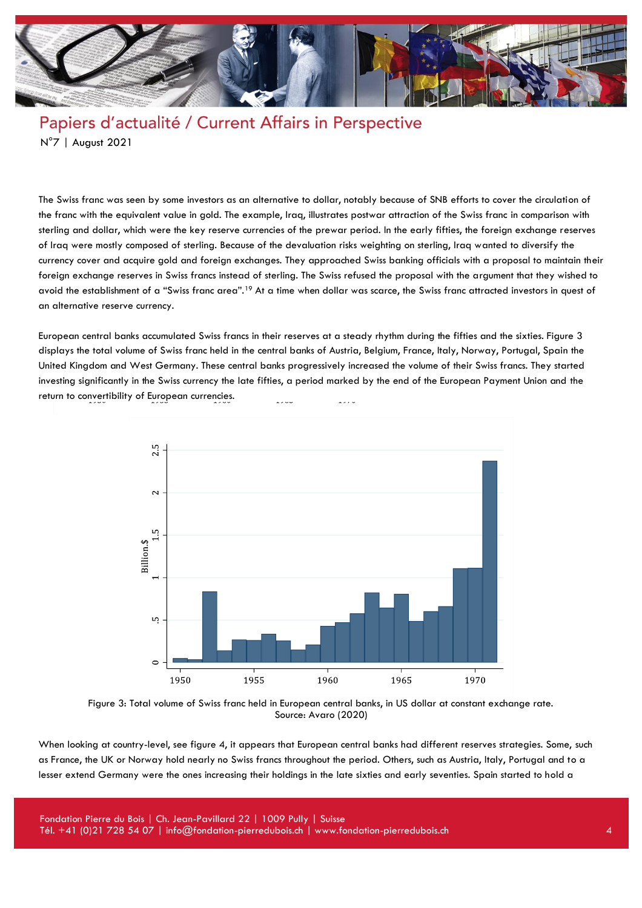

The Swiss franc was seen by some investors as an alternative to dollar, notably because of SNB efforts to cover the circulation of the franc with the equivalent value in gold. The example, Iraq, illustrates postwar attraction of the Swiss franc in comparison with sterling and dollar, which were the key reserve currencies of the prewar period. In the early fifties, the foreign exchange reserves of Iraq were mostly composed of sterling. Because of the devaluation risks weighting on sterling, Iraq wanted to diversify the currency cover and acquire gold and foreign exchanges. They approached Swiss banking officials with a proposal to maintain their foreign exchange reserves in Swiss francs instead of sterling. The Swiss refused the proposal with the argument that they wished to avoid the establishment of a "Swiss franc area".<sup>19</sup> At a time when dollar was scarce, the Swiss franc attracted investors in quest of an alternative reserve currency.

European central banks accumulated Swiss francs in their reserves at a steady rhythm during the fifties and the sixties. Figure 3 displays the total volume of Swiss franc held in the central banks of Austria, Belgium, France, Italy, Norway, Portugal, Spain the United Kingdom and West Germany. These central banks progressively increased the volume of their Swiss francs. They started investing significantly in the Swiss currency the late fifties, a period marked by the end of the European Payment Union and the return to convertibility of European currencies.



Figure 3: Total volume of Swiss franc held in European central banks, in US dollar at constant exchange rate. Source: Avaro (2020)

When looking at country-level, see figure 4, it appears that European central banks had different reserves strategies. Some, such as France, the UK or Norway hold nearly no Swiss francs throughout the period. Others, such as Austria, Italy, Portugal and to a lesser extend Germany were the ones increasing their holdings in the late sixties and early seventies. Spain started to hold a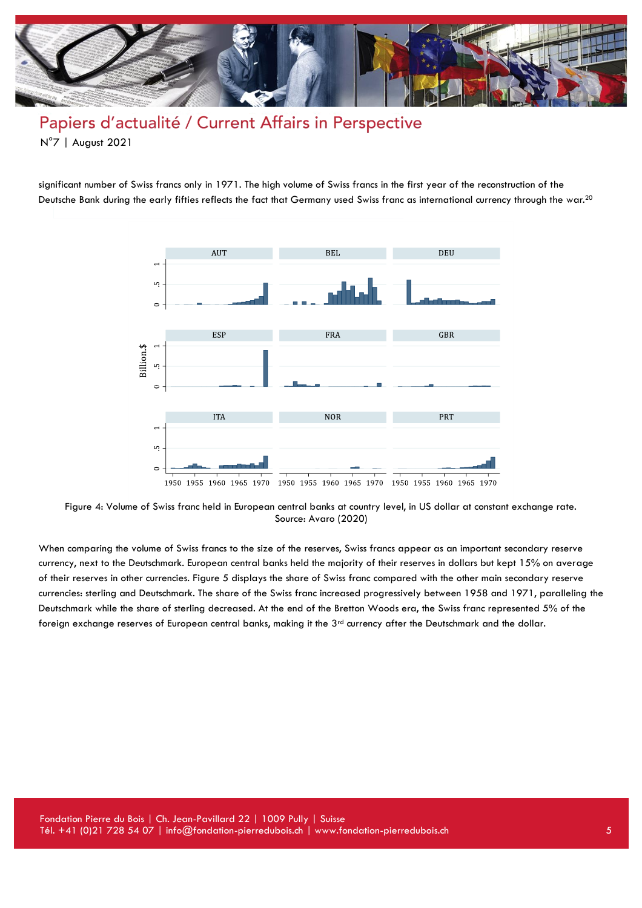

significant number of Swiss francs only in 1971. The high volume of Swiss francs in the first year of the reconstruction of the Deutsche Bank during the early fifties reflects the fact that Germany used Swiss franc as international currency through the war.<sup>20</sup>



Figure 4: Volume of Swiss franc held in European central banks at country level, in US dollar at constant exchange rate. Source: Avaro (2020)

When comparing the volume of Swiss francs to the size of the reserves, Swiss francs appear as an important secondary reserve currency, next to the Deutschmark. European central banks held the majority of their reserves in dollars but kept 15% on average of their reserves in other currencies. Figure 5 displays the share of Swiss franc compared with the other main secondary reserve currencies: sterling and Deutschmark. The share of the Swiss franc increased progressively between 1958 and 1971, paralleling the Deutschmark while the share of sterling decreased. At the end of the Bretton Woods era, the Swiss franc represented 5% of the foreign exchange reserves of European central banks, making it the  $3<sup>rd</sup>$  currency after the Deutschmark and the dollar.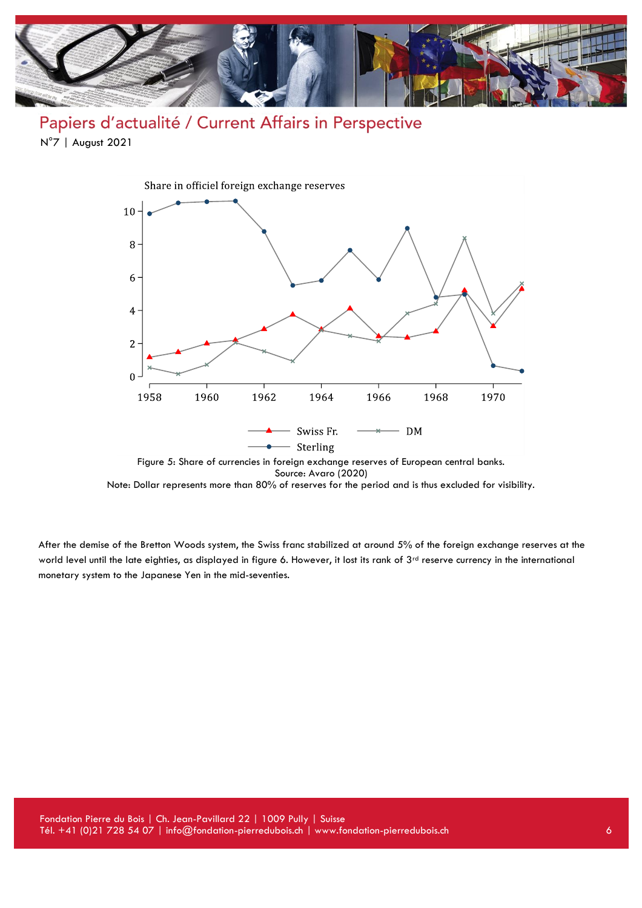

Papiers d'actualité / Current Affairs in Perspective N°7 | August 2021



Figure 5: Share of currencies in foreign exchange reserves of European central banks. Source: Avaro (2020)

Note: Dollar represents more than 80% of reserves for the period and is thus excluded for visibility.

After the demise of the Bretton Woods system, the Swiss franc stabilized at around 5% of the foreign exchange reserves at the world level until the late eighties, as displayed in figure 6. However, it lost its rank of 3rd reserve currency in the international monetary system to the Japanese Yen in the mid-seventies.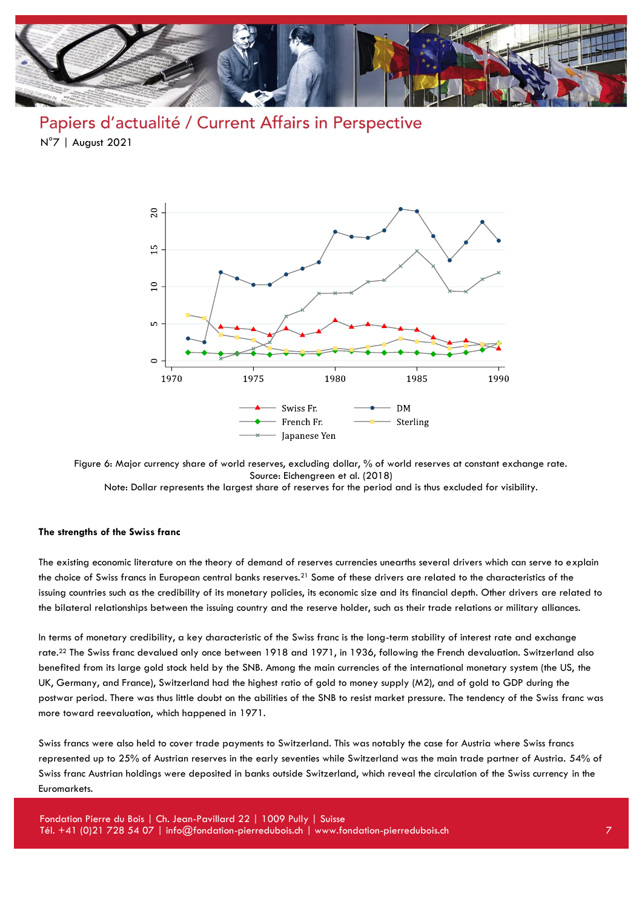

Papiers d'actualité / Current Affairs in Perspective N°7 | August 2021



Figure 6: Major currency share of world reserves, excluding dollar, % of world reserves at constant exchange rate. Source: Eichengreen et al. (2018)

Note: Dollar represents the largest share of reserves for the period and is thus excluded for visibility.

#### **The strengths of the Swiss franc**

The existing economic literature on the theory of demand of reserves currencies unearths several drivers which can serve to explain the choice of Swiss francs in European central banks reserves.<sup>21</sup> Some of these drivers are related to the characteristics of the issuing countries such as the credibility of its monetary policies, its economic size and its financial depth. Other drivers are related to the bilateral relationships between the issuing country and the reserve holder, such as their trade relations or military alliances.

In terms of monetary credibility, a key characteristic of the Swiss franc is the long-term stability of interest rate and exchange rate.<sup>22</sup> The Swiss franc devalued only once between 1918 and 1971, in 1936, following the French devaluation. Switzerland also benefited from its large gold stock held by the SNB. Among the main currencies of the international monetary system (the US, the UK, Germany, and France), Switzerland had the highest ratio of gold to money supply (M2), and of gold to GDP during the postwar period. There was thus little doubt on the abilities of the SNB to resist market pressure. The tendency of the Swiss franc was more toward reevaluation, which happened in 1971.

Swiss francs were also held to cover trade payments to Switzerland. This was notably the case for Austria where Swiss francs represented up to 25% of Austrian reserves in the early seventies while Switzerland was the main trade partner of Austria. 54% of Swiss franc Austrian holdings were deposited in banks outside Switzerland, which reveal the circulation of the Swiss currency in the Euromarkets.

Fondation Pierre du Bois | Ch. Jean-Pavillard 22 | 1009 Pully | Suisse Tél. +41 (0)21 728 54 07 | info@fondation-pierredubois.ch | www.fondation-pierredubois.ch 7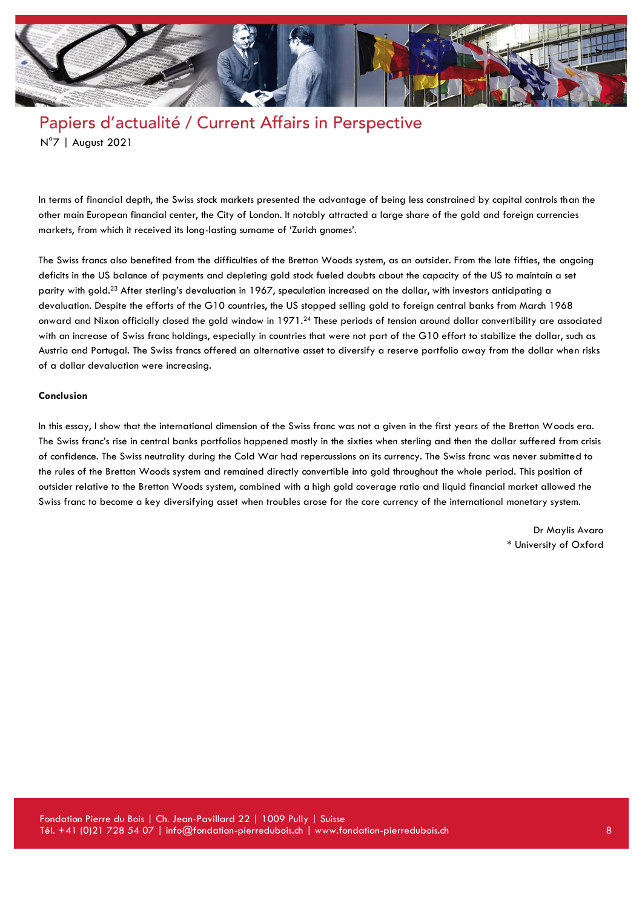

In terms of financial depth, the Swiss stock markets presented the advantage of being less constrained by capital controls than the other main European financial center, the City of London. It notably attracted a large share of the gold and foreign currencies markets, from which it received its long-lasting surname of 'Zurich gnomes'.

The Swiss francs also benefited from the difficulties of the Bretton Woods system, as an outsider. From the late fifties, the ongoing deficits in the US balance of payments and depleting gold stock fueled doubts about the capacity of the US to maintain a set parity with gold.<sup>23</sup> After sterling's devaluation in 1967, speculation increased on the dollar, with investors anticipating a devaluation. Despite the efforts of the G10 countries, the US stopped selling gold to foreign central banks from March 1968 onward and Nixon officially closed the gold window in 1971.<sup>24</sup> These periods of tension around dollar convertibility are associated with an increase of Swiss franc holdings, especially in countries that were not part of the G10 effort to stabilize the dollar, such as Austria and Portugal. The Swiss francs offered an alternative asset to diversify a reserve portfolio away from the dollar when risks of a dollar devaluation were increasing.

#### **Conclusion**

In this essay, I show that the international dimension of the Swiss franc was not a given in the first years of the Bretton Woods era. The Swiss franc's rise in central banks portfolios happened mostly in the sixties when sterling and then the dollar suffered from crisis of confidence. The Swiss neutrality during the Cold War had repercussions on its currency. The Swiss franc was never submitted to the rules of the Bretton Woods system and remained directly convertible into gold throughout the whole period. This position of outsider relative to the Bretton Woods system, combined with a high gold coverage ratio and liquid financial market allowed the Swiss franc to become a key diversifying asset when troubles arose for the core currency of the international monetary system.

> Dr Maylis Avaro \* University of Oxford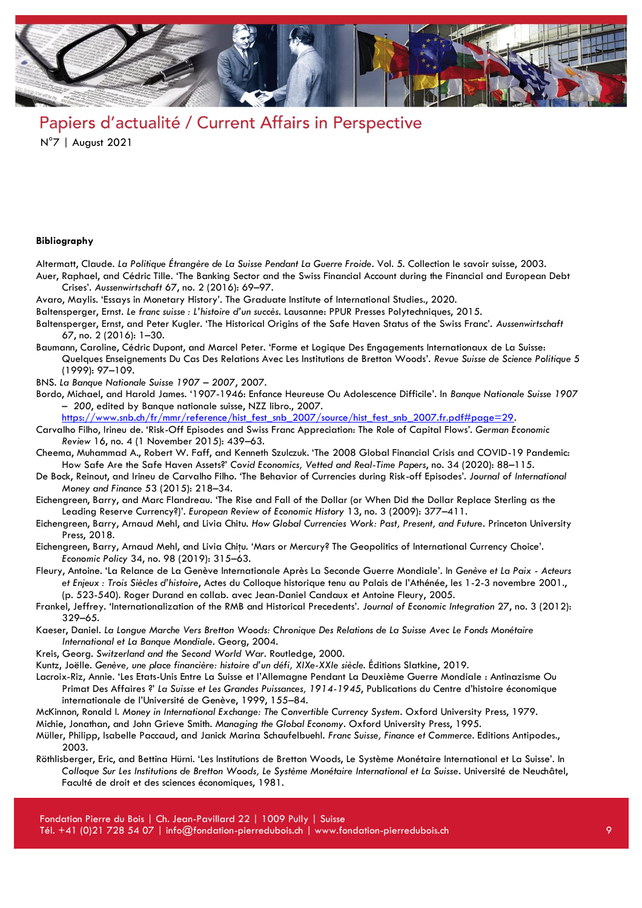

#### **Bibliography**

- Altermatt, Claude. *La Politique Étrangère de La Suisse Pendant La Guerre Froide*. Vol. 5. Collection le savoir suisse, 2003. Auer, Raphael, and Cédric Tille. 'The Banking Sector and the Swiss Financial Account during the Financial and European Debt Crises'. *Aussenwirtschaft* 67, no. 2 (2016): 69–97.
- Avaro, Maylis. 'Essays in Monetary History'. The Graduate Institute of International Studies., 2020.
- Baltensperger, Ernst. *Le franc suisse : L'histoire d'un succès*. Lausanne: PPUR Presses Polytechniques, 2015.
- Baltensperger, Ernst, and Peter Kugler. 'The Historical Origins of the Safe Haven Status of the Swiss Franc'. *Aussenwirtschaft* 67, no. 2 (2016): 1–30.
- Baumann, Caroline, Cédric Dupont, and Marcel Peter. 'Forme et Logique Des Engagements Internationaux de La Suisse: Quelques Enseignements Du Cas Des Relations Avec Les Institutions de Bretton Woods'. *Revue Suisse de Science Politique* 5 (1999): 97–109.
- BNS. *La Banque Nationale Suisse 1907 – 2007*, 2007.
- Bordo, Michael, and Harold James. '1907-1946: Enfance Heureuse Ou Adolescence Difficile'. In *Banque Nationale Suisse 1907 – 200*, edited by Banque nationale suisse, NZZ libro., 2007.
- [https://www.snb.ch/fr/mmr/reference/hist\\_fest\\_snb\\_2007/source/hist\\_fest\\_snb\\_2007.fr.pdf#page=29.](https://www.snb.ch/fr/mmr/reference/hist_fest_snb_2007/source/hist_fest_snb_2007.fr.pdf#page=29)
- Carvalho Filho, Irineu de. 'Risk-Off Episodes and Swiss Franc Appreciation: The Role of Capital Flows'. *German Economic Review* 16, no. 4 (1 November 2015): 439–63.
- Cheema, Muhammad A., Robert W. Faff, and Kenneth Szulczuk. 'The 2008 Global Financial Crisis and COVID-19 Pandemic: How Safe Are the Safe Haven Assets?' *Covid Economics, Vetted and Real-Time Papers*, no. 34 (2020): 88–115.
- De Bock, Reinout, and Irineu de Carvalho Filho. 'The Behavior of Currencies during Risk-off Episodes'. *Journal of International Money and Finance* 53 (2015): 218–34.
- Eichengreen, Barry, and Marc Flandreau. 'The Rise and Fall of the Dollar (or When Did the Dollar Replace Sterling as the Leading Reserve Currency?)'. *European Review of Economic History* 13, no. 3 (2009): 377–411.
- Eichengreen, Barry, Arnaud Mehl, and Livia Chitu. *How Global Currencies Work: Past, Present, and Future*. Princeton University Press, 2018.
- Eichengreen, Barry, Arnaud Mehl, and Livia Chiţu. 'Mars or Mercury? The Geopolitics of International Currency Choice'. *Economic Policy* 34, no. 98 (2019): 315–63.
- Fleury, Antoine. 'La Relance de La Genève Internationale Après La Seconde Guerre Mondiale'. In *Genève et La Paix - Acteurs et Enjeux : Trois Siècles d'histoire*, Actes du Colloque historique tenu au Palais de l'Athénée, les 1-2-3 novembre 2001., (p. 523-540). Roger Durand en collab. avec Jean-Daniel Candaux et Antoine Fleury, 2005.
- Frankel, Jeffrey. 'Internationalization of the RMB and Historical Precedents'. *Journal of Economic Integration* 27, no. 3 (2012): 329–65.
- Kaeser, Daniel. *La Longue Marche Vers Bretton Woods: Chronique Des Relations de La Suisse Avec Le Fonds Monétaire International et La Banque Mondiale*. Georg, 2004.
- Kreis, Georg. *Switzerland and the Second World War*. Routledge, 2000.
- Kuntz, Joëlle. *Genève, une place financière: histoire d'un défi, XIXe-XXIe siècle*. Éditions Slatkine, 2019.
- Lacroix-Riz, Annie. 'Les Etats-Unis Entre La Suisse et l'Allemagne Pendant La Deuxième Guerre Mondiale : Antinazisme Ou Primat Des Affaires ?' *La Suisse et Les Grandes Puissances, 1914-1945*, Publications du Centre d'histoire économique internationale de l'Université de Genève, 1999, 155–84.
- McKinnon, Ronald I. *Money in International Exchange: The Convertible Currency System*. Oxford University Press, 1979.
- Michie, Jonathan, and John Grieve Smith. *Managing the Global Economy*. Oxford University Press, 1995.
- Müller, Philipp, Isabelle Paccaud, and Janick Marina Schaufelbuehl. *Franc Suisse, Finance et Commerce*. Editions Antipodes., 2003.
- Röthlisberger, Eric, and Bettina Hürni. 'Les Institutions de Bretton Woods, Le Système Monétaire International et La Suisse'. In *Colloque Sur Les Institutions de Bretton Woods, Le Système Monétaire International et La Suisse*. Université de Neuchâtel, Faculté de droit et des sciences économiques, 1981.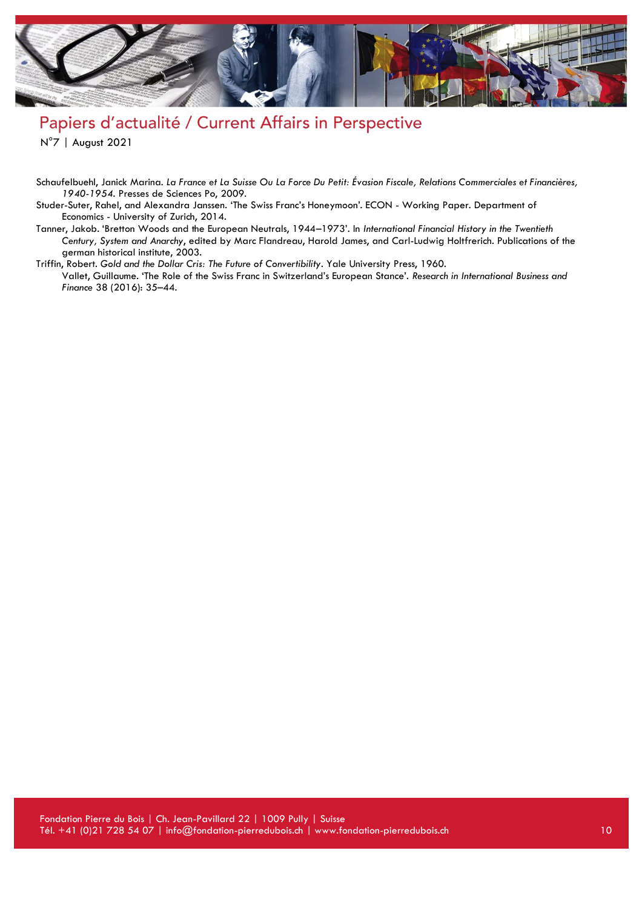

# Papiers d'actualité / Current Affairs in Perspective

N°7 | August 2021

- Schaufelbuehl, Janick Marina. *La France et La Suisse Ou La Force Du Petit: Évasion Fiscale, Relations Commerciales et Financières, 1940-1954*. Presses de Sciences Po, 2009.
- Studer-Suter, Rahel, and Alexandra Janssen. 'The Swiss Franc's Honeymoon'. ECON Working Paper. Department of Economics - University of Zurich, 2014.
- Tanner, Jakob. 'Bretton Woods and the European Neutrals, 1944–1973'. In *International Financial History in the Twentieth Century, System and Anarchy*, edited by Marc Flandreau, Harold James, and Carl-Ludwig Holtfrerich. Publications of the german historical institute, 2003.
- Triffin, Robert. *Gold and the Dollar Cris: The Future of Convertibility*. Yale University Press, 1960. Vallet, Guillaume. 'The Role of the Swiss Franc in Switzerland's European Stance'. *Research in International Business and Finance* 38 (2016): 35–44.